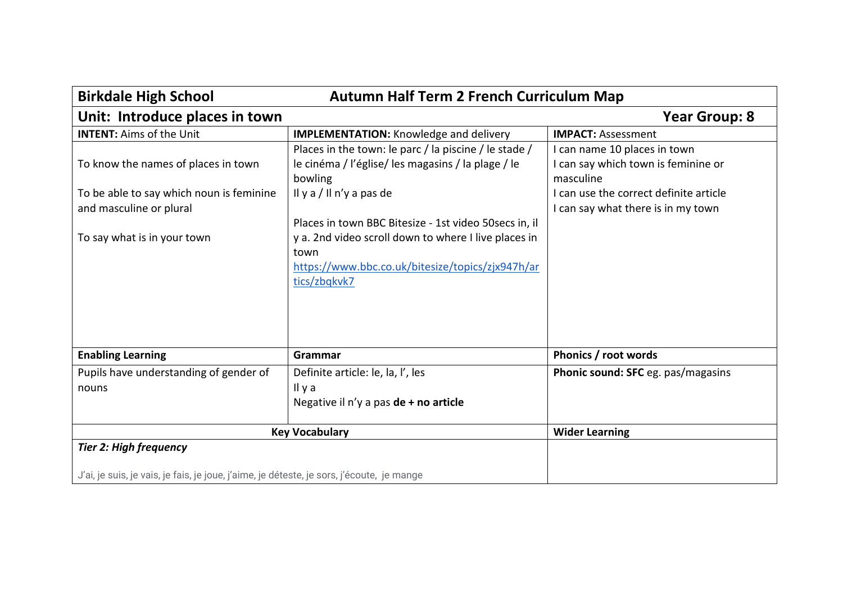| <b>Birkdale High School</b><br><b>Autumn Half Term 2 French Curriculum Map</b>                                             |                                                                                                                                                                                            |                                                                                                                            |
|----------------------------------------------------------------------------------------------------------------------------|--------------------------------------------------------------------------------------------------------------------------------------------------------------------------------------------|----------------------------------------------------------------------------------------------------------------------------|
| Unit: Introduce places in town                                                                                             |                                                                                                                                                                                            | <b>Year Group: 8</b>                                                                                                       |
| <b>INTENT: Aims of the Unit</b>                                                                                            | <b>IMPLEMENTATION: Knowledge and delivery</b>                                                                                                                                              | <b>IMPACT: Assessment</b>                                                                                                  |
| To know the names of places in town<br>To be able to say which noun is feminine                                            | Places in the town: le parc / la piscine / le stade /<br>le cinéma / l'église/ les magasins / la plage / le<br>bowling<br>Il y a / Il n'y a pas de                                         | I can name 10 places in town<br>I can say which town is feminine or<br>masculine<br>I can use the correct definite article |
| and masculine or plural<br>To say what is in your town                                                                     | Places in town BBC Bitesize - 1st video 50 secs in, il<br>y a. 2nd video scroll down to where I live places in<br>town<br>https://www.bbc.co.uk/bitesize/topics/zjx947h/ar<br>tics/zbqkvk7 | I can say what there is in my town                                                                                         |
| <b>Enabling Learning</b>                                                                                                   | Grammar                                                                                                                                                                                    | Phonics / root words                                                                                                       |
| Pupils have understanding of gender of<br>nouns                                                                            | Definite article: le, la, l', les<br>Il y a<br>Negative il n'y a pas de + no article                                                                                                       | Phonic sound: SFC eg. pas/magasins                                                                                         |
| <b>Key Vocabulary</b>                                                                                                      |                                                                                                                                                                                            | <b>Wider Learning</b>                                                                                                      |
| <b>Tier 2: High frequency</b><br>J'ai, je suis, je vais, je fais, je joue, j'aime, je déteste, je sors, j'écoute, je mange |                                                                                                                                                                                            |                                                                                                                            |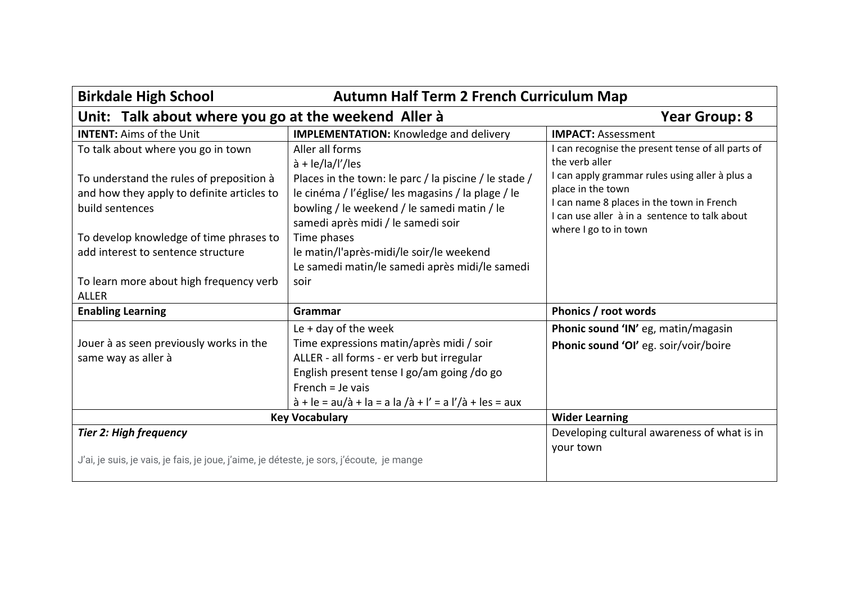| <b>Birkdale High School</b><br><b>Autumn Half Term 2 French Curriculum Map</b>                                             |                                                                                                                                                                                                                                                                        |                                                                                                                                                                                            |
|----------------------------------------------------------------------------------------------------------------------------|------------------------------------------------------------------------------------------------------------------------------------------------------------------------------------------------------------------------------------------------------------------------|--------------------------------------------------------------------------------------------------------------------------------------------------------------------------------------------|
| Unit: Talk about where you go at the weekend Aller à                                                                       |                                                                                                                                                                                                                                                                        | <b>Year Group: 8</b>                                                                                                                                                                       |
| <b>INTENT: Aims of the Unit</b>                                                                                            | <b>IMPLEMENTATION:</b> Knowledge and delivery                                                                                                                                                                                                                          | <b>IMPACT: Assessment</b>                                                                                                                                                                  |
| To talk about where you go in town                                                                                         | Aller all forms<br>$\dot{a}$ + le/la/l'/les                                                                                                                                                                                                                            | I can recognise the present tense of all parts of<br>the verb aller                                                                                                                        |
| To understand the rules of preposition à<br>and how they apply to definite articles to<br>build sentences                  | Places in the town: le parc / la piscine / le stade /<br>le cinéma / l'église/ les magasins / la plage / le<br>bowling / le weekend / le samedi matin / le<br>samedi après midi / le samedi soir                                                                       | I can apply grammar rules using aller à plus a<br>place in the town<br>I can name 8 places in the town in French<br>I can use aller à in a sentence to talk about<br>where I go to in town |
| To develop knowledge of time phrases to<br>add interest to sentence structure                                              | Time phases<br>le matin/l'après-midi/le soir/le weekend<br>Le samedi matin/le samedi après midi/le samedi                                                                                                                                                              |                                                                                                                                                                                            |
| To learn more about high frequency verb<br><b>ALLER</b>                                                                    | soir                                                                                                                                                                                                                                                                   |                                                                                                                                                                                            |
| <b>Enabling Learning</b>                                                                                                   | Grammar                                                                                                                                                                                                                                                                | Phonics / root words                                                                                                                                                                       |
| Jouer à as seen previously works in the<br>same way as aller à                                                             | Le $+$ day of the week<br>Time expressions matin/après midi / soir<br>ALLER - all forms - er verb but irregular<br>English present tense I go/am going /do go<br>French = $Je$ vais<br>$\hat{a} + Ie = au/\hat{a} + Ia = a Ia/\hat{a} + I' = a I'/\hat{a} + Ies = aux$ | Phonic sound 'IN' eg, matin/magasin<br>Phonic sound 'OI' eg. soir/voir/boire                                                                                                               |
| <b>Key Vocabulary</b>                                                                                                      |                                                                                                                                                                                                                                                                        | <b>Wider Learning</b>                                                                                                                                                                      |
| <b>Tier 2: High frequency</b><br>J'ai, je suis, je vais, je fais, je joue, j'aime, je déteste, je sors, j'écoute, je mange |                                                                                                                                                                                                                                                                        | Developing cultural awareness of what is in<br>your town                                                                                                                                   |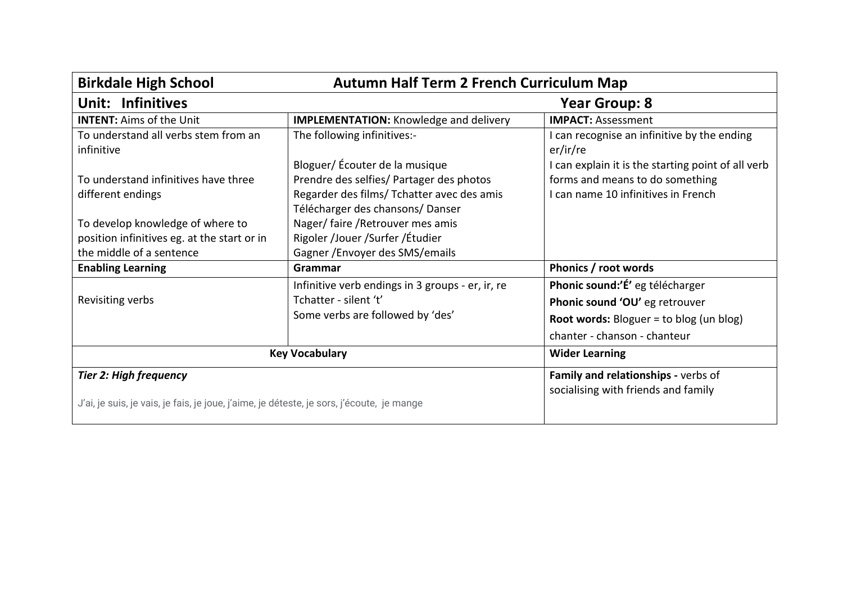| <b>Birkdale High School</b><br><b>Autumn Half Term 2 French Curriculum Map</b>                                             |                                                                                                                           |                                                                                                                                                     |
|----------------------------------------------------------------------------------------------------------------------------|---------------------------------------------------------------------------------------------------------------------------|-----------------------------------------------------------------------------------------------------------------------------------------------------|
| Unit: Infinitives                                                                                                          | Year Group: 8                                                                                                             |                                                                                                                                                     |
| <b>INTENT: Aims of the Unit</b>                                                                                            | <b>IMPLEMENTATION:</b> Knowledge and delivery                                                                             | <b>IMPACT: Assessment</b>                                                                                                                           |
| To understand all verbs stem from an<br>infinitive                                                                         | The following infinitives:-<br>Bloguer/ Écouter de la musique                                                             | I can recognise an infinitive by the ending<br>er/ir/re<br>I can explain it is the starting point of all verb                                       |
| To understand infinitives have three<br>different endings                                                                  | Prendre des selfies/ Partager des photos<br>Regarder des films/ Tchatter avec des amis<br>Télécharger des chansons/Danser | forms and means to do something<br>I can name 10 infinitives in French                                                                              |
| To develop knowledge of where to<br>position infinitives eg. at the start or in<br>the middle of a sentence                | Nager/faire/Retrouver mes amis<br>Rigoler /Jouer /Surfer /Étudier<br>Gagner / Envoyer des SMS/emails                      |                                                                                                                                                     |
| <b>Enabling Learning</b>                                                                                                   | Grammar                                                                                                                   | Phonics / root words                                                                                                                                |
| Revisiting verbs                                                                                                           | Infinitive verb endings in 3 groups - er, ir, re<br>Tchatter - silent 't'<br>Some verbs are followed by 'des'             | Phonic sound:'É' eg télécharger<br>Phonic sound 'OU' eg retrouver<br><b>Root words:</b> Bloguer = to blog (un blog)<br>chanter - chanson - chanteur |
|                                                                                                                            | <b>Key Vocabulary</b>                                                                                                     | <b>Wider Learning</b>                                                                                                                               |
| <b>Tier 2: High frequency</b><br>J'ai, je suis, je vais, je fais, je joue, j'aime, je déteste, je sors, j'écoute, je mange |                                                                                                                           | Family and relationships - verbs of<br>socialising with friends and family                                                                          |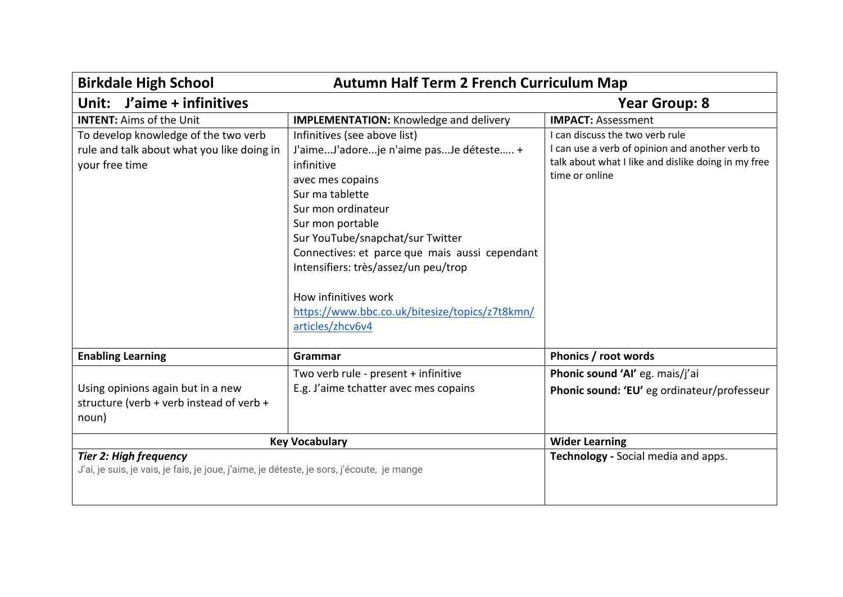| <b>Birkdale High School</b><br><b>Autumn Half Term 2 French Curriculum Map</b>                                             |                                                                                                                                                                                                                                                                                                                                                                                                   |                                                                                                                                                             |
|----------------------------------------------------------------------------------------------------------------------------|---------------------------------------------------------------------------------------------------------------------------------------------------------------------------------------------------------------------------------------------------------------------------------------------------------------------------------------------------------------------------------------------------|-------------------------------------------------------------------------------------------------------------------------------------------------------------|
| J'aime + infinitives<br>Unit:                                                                                              |                                                                                                                                                                                                                                                                                                                                                                                                   | <b>Year Group: 8</b>                                                                                                                                        |
| <b>INTENT: Aims of the Unit</b>                                                                                            | <b>IMPLEMENTATION:</b> Knowledge and delivery                                                                                                                                                                                                                                                                                                                                                     | <b>IMPACT: Assessment</b>                                                                                                                                   |
| To develop knowledge of the two verb<br>rule and talk about what you like doing in<br>your free time                       | Infinitives (see above list)<br>J'aimeJ'adoreje n'aime pasJe déteste +<br>infinitive<br>avec mes copains<br>Sur ma tablette<br>Sur mon ordinateur<br>Sur mon portable<br>Sur YouTube/snapchat/sur Twitter<br>Connectives: et parce que mais aussi cependant<br>Intensifiers: très/assez/un peu/trop<br>How infinitives work<br>https://www.bbc.co.uk/bitesize/topics/z7t8kmn/<br>articles/zhcv6v4 | I can discuss the two verb rule<br>I can use a verb of opinion and another verb to<br>talk about what I like and dislike doing in my free<br>time or online |
| <b>Enabling Learning</b>                                                                                                   | Grammar                                                                                                                                                                                                                                                                                                                                                                                           | Phonics / root words                                                                                                                                        |
| Using opinions again but in a new<br>structure (verb + verb instead of verb +<br>noun)                                     | Two verb rule - present + infinitive<br>E.g. J'aime tchatter avec mes copains                                                                                                                                                                                                                                                                                                                     | Phonic sound 'Al' eg. mais/j'ai<br>Phonic sound: 'EU' eg ordinateur/professeur                                                                              |
|                                                                                                                            | <b>Key Vocabulary</b>                                                                                                                                                                                                                                                                                                                                                                             | <b>Wider Learning</b>                                                                                                                                       |
| <b>Tier 2: High frequency</b><br>J'ai, je suis, je vais, je fais, je joue, j'aime, je déteste, je sors, j'écoute, je mange |                                                                                                                                                                                                                                                                                                                                                                                                   | Technology - Social media and apps.                                                                                                                         |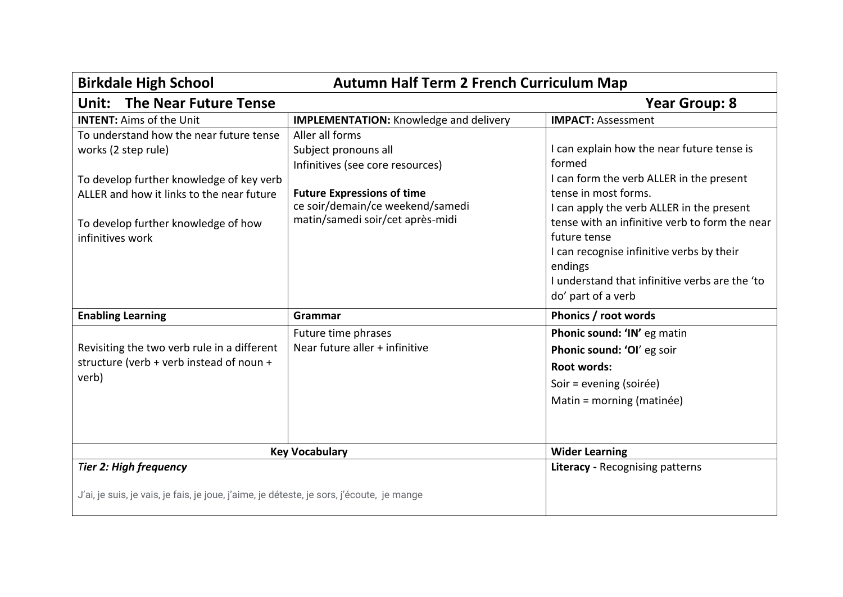| <b>Birkdale High School</b><br><b>Autumn Half Term 2 French Curriculum Map</b>            |                                               |                                                |
|-------------------------------------------------------------------------------------------|-----------------------------------------------|------------------------------------------------|
| <b>The Near Future Tense</b><br>Unit:                                                     |                                               | <b>Year Group: 8</b>                           |
| <b>INTENT:</b> Aims of the Unit                                                           | <b>IMPLEMENTATION:</b> Knowledge and delivery | <b>IMPACT: Assessment</b>                      |
| To understand how the near future tense                                                   | Aller all forms                               |                                                |
| works (2 step rule)                                                                       | Subject pronouns all                          | I can explain how the near future tense is     |
|                                                                                           | Infinitives (see core resources)              | formed                                         |
| To develop further knowledge of key verb                                                  |                                               | I can form the verb ALLER in the present       |
| ALLER and how it links to the near future                                                 | <b>Future Expressions of time</b>             | tense in most forms.                           |
|                                                                                           | ce soir/demain/ce weekend/samedi              | I can apply the verb ALLER in the present      |
| To develop further knowledge of how                                                       | matin/samedi soir/cet après-midi              | tense with an infinitive verb to form the near |
| infinitives work                                                                          |                                               | future tense                                   |
|                                                                                           |                                               | I can recognise infinitive verbs by their      |
|                                                                                           |                                               | endings                                        |
|                                                                                           |                                               | I understand that infinitive verbs are the 'to |
|                                                                                           |                                               | do' part of a verb                             |
| <b>Enabling Learning</b>                                                                  | Grammar                                       | Phonics / root words                           |
|                                                                                           | Future time phrases                           | Phonic sound: 'IN' eg matin                    |
| Revisiting the two verb rule in a different                                               | Near future aller + infinitive                | Phonic sound: 'OI' eg soir                     |
| structure (verb + verb instead of noun +                                                  |                                               | Root words:                                    |
| verb)                                                                                     |                                               | Soir = evening (soirée)                        |
|                                                                                           |                                               | Matin = morning (matinée)                      |
|                                                                                           |                                               |                                                |
|                                                                                           | <b>Key Vocabulary</b>                         | <b>Wider Learning</b>                          |
| Tier 2: High frequency                                                                    |                                               | Literacy - Recognising patterns                |
| J'ai, je suis, je vais, je fais, je joue, j'aime, je déteste, je sors, j'écoute, je mange |                                               |                                                |